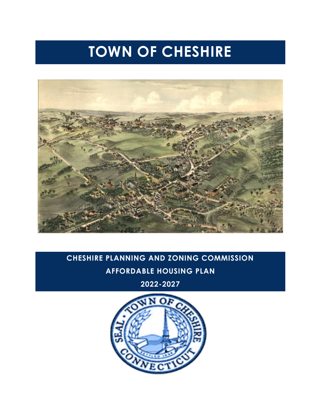# **TOWN OF CHESHIRE**



# **CHESHIRE PLANNING AND ZONING COMMISSION AFFORDABLE HOUSING PLAN**

**2022-2027**

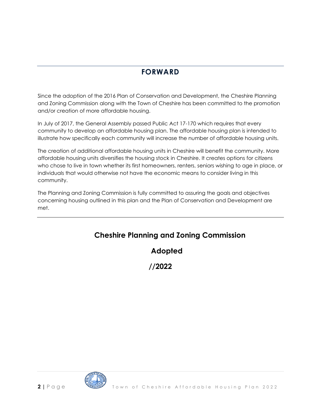### **FORWARD**

Since the adoption of the 2016 Plan of Conservation and Development, the Cheshire Planning and Zoning Commission along with the Town of Cheshire has been committed to the promotion and/or creation of more affordable housing.

In July of 2017, the General Assembly passed Public Act 17-170 which requires that every community to develop an affordable housing plan. The affordable housing plan is intended to illustrate how specifically each community will increase the number of affordable housing units.

The creation of additional affordable housing units in Cheshire will benefit the community. More affordable housing units diversifies the housing stock in Cheshire. It creates options for citizens who chose to live in town whether its first homeowners, renters, seniors wishing to age in place, or individuals that would otherwise not have the economic means to consider living in this community.

The Planning and Zoning Commission is fully committed to assuring the goals and objectives concerning housing outlined in this plan and the Plan of Conservation and Development are met.

### **Cheshire Planning and Zoning Commission**

**Adopted**

**//2022**

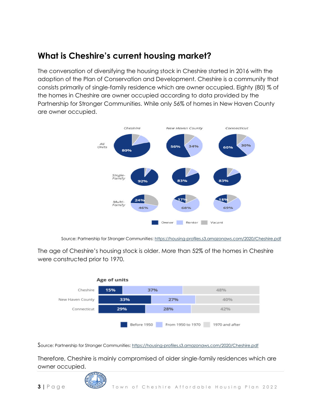### **What is Cheshire's current housing market?**

The conversation of diversifying the housing stock in Cheshire started in 2016 with the adoption of the Plan of Conservation and Development. Cheshire is a community that consists primarily of single-family residence which are owner occupied. Eighty (80) % of the homes in Cheshire are owner occupied according to data provided by the Partnership for Stronger Communities. While only 56% of homes in New Haven County are owner occupied.



Source: Partnership for Stronger Communities:<https://housing-profiles.s3.amazonaws.com/2020/Cheshire.pdf>

The age of Cheshire's housing stock is older. More than 52% of the homes in Cheshire were constructed prior to 1970.



Source: Partnership for Stronger Communities:<https://housing-profiles.s3.amazonaws.com/2020/Cheshire.pdf>

Therefore, Cheshire is mainly compromised of older single-family residences which are owner occupied.

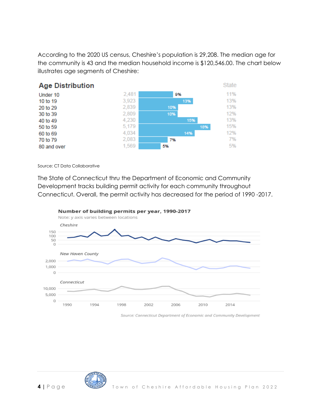According to the 2020 US census, Cheshire's population is 29,208. The median age for the community is 43 and the median household income is \$120,546.00. The chart below illustrates age segments of Cheshire:



Source: CT Data Collaborative

The State of Connecticut thru the Department of Economic and Community Development tracks building permit activity for each community throughout Connecticut. Overall, the permit activity has decreased for the period of 1990 -2017.



Number of building permits per year, 1990-2017

Source: Connecticut Department of Economic and Community Development

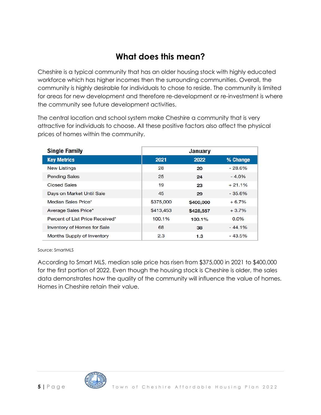### **What does this mean?**

Cheshire is a typical community that has an older housing stock with highly educated workforce which has higher incomes then the surrounding communities. Overall, the community is highly desirable for individuals to chose to reside. The community is limited for areas for new development and therefore re-development or re-investment is where the community see future development activities.

The central location and school system make Cheshire a community that is very attractive for individuals to choose. All these positive factors also affect the physical prices of homes within the community.

| <b>Single Family</b>               | <b>January</b> |           |           |  |  |
|------------------------------------|----------------|-----------|-----------|--|--|
| <b>Key Metrics</b>                 | 2021           | 2022      | % Change  |  |  |
| <b>New Listings</b>                | 28             | 20        | $-28.6%$  |  |  |
| <b>Pending Sales</b>               | 25             | 24        | $-4.0\%$  |  |  |
| <b>Closed Sales</b>                | 19             | 23        | $+21.1%$  |  |  |
| Days on Market Until Sale          | 45             | 29        | $-35.6%$  |  |  |
| Median Sales Price*                | \$375,000      | \$400,000 | $+6.7%$   |  |  |
| Average Sales Price*               | \$413,453      | \$428,557 | $+3.7\%$  |  |  |
| Percent of List Price Received*    | 100.1%         | 100.1%    | $0.0\%$   |  |  |
| <b>Inventory of Homes for Sale</b> | 68             | 38        | $-44.1\%$ |  |  |
| Months Supply of Inventory         | 2.3            | 1.3       | $-43.5%$  |  |  |

Source: SmartMLS

According to Smart MLS, median sale price has risen from \$375,000 in 2021 to \$400,000 for the first portion of 2022. Even though the housing stock is Cheshire is older, the sales data demonstrates how the quality of the community will influence the value of homes. Homes in Cheshire retain their value.

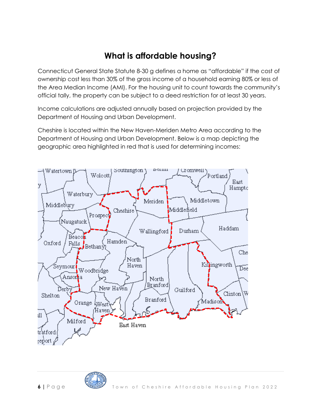### **What is affordable housing?**

Connecticut General State Statute 8-30 g defines a home as "affordable" if the cost of ownership cost less than 30% of the gross income of a household earning 80% or less of the Area Median Income (AMI). For the housing unit to count towards the community's official tally, the property can be subject to a deed restriction for at least 30 years.

Income calculations are adjusted annually based on projection provided by the Department of Housing and Urban Development.

Cheshire is located within the New Haven-Meriden Metro Area according to the Department of Housing and Urban Development. Below is a map depicting the geographic area highlighted in red that is used for determining incomes:

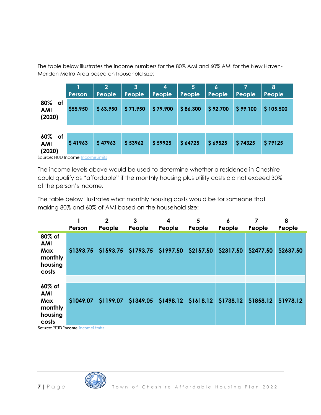The table below illustrates the income numbers for the 80% AMI and 60% AMI for the New Haven-Meriden Metro Area based on household size:

|                                   | Person   | People   | $\mathbf{3}$<br>People | 4<br>People | 5<br>People | 6<br>People | People   | 8<br>People |
|-----------------------------------|----------|----------|------------------------|-------------|-------------|-------------|----------|-------------|
| 80%<br>of<br><b>AMI</b><br>(2020) | \$55,950 | \$63,950 | \$71,950               | \$79,900    | \$86,300    | \$92,700    | \$99,100 | \$105,500   |
| 60% of<br><b>AMI</b><br>(2020)    | \$41963  | \$47963  | \$53962                | \$59925     | \$64725     | \$69525     | \$74325  | \$79125     |

Source: HUD Income Income Limits

The income levels above would be used to determine whether a residence in Cheshire could qualify as "affordable" if the monthly housing plus utility costs did not exceed 30% of the person's income.

The table below illustrates what monthly housing costs would be for someone that making 80% and 60% of AMI based on the household size:

|                                                            | Person    | $\mathbf 2$<br>People | 3<br>People | 4<br>People | 5<br>People | 6<br>People | People    | 8<br>People |
|------------------------------------------------------------|-----------|-----------------------|-------------|-------------|-------------|-------------|-----------|-------------|
| 80% of<br><b>AMI</b><br>Max<br>monthly<br>housing<br>costs | \$1393.75 | \$1593.75             | \$1793.75   | \$1997.50   | \$2157.50   | \$2317.50   | \$2477.50 | \$2637.50   |
|                                                            |           |                       |             |             |             |             |           |             |
| 60% of<br><b>AMI</b><br>Max<br>monthly<br>housing<br>costs | \$1049.07 | \$1199.07             | \$1349.05   | \$1498.12   | \$1618.12   | \$1738.12   | \$1858.12 | \$1978.12   |

Source: HUD Income Income Limits

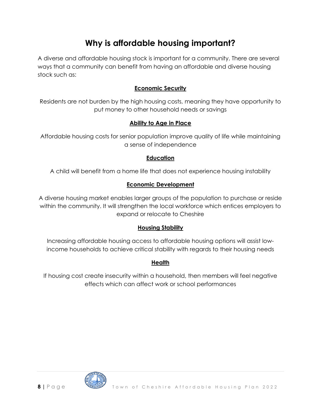### **Why is affordable housing important?**

A diverse and affordable housing stock is important for a community. There are several ways that a community can benefit from having an affordable and diverse housing stock such as:

#### **Economic Security**

Residents are not burden by the high housing costs, meaning they have opportunity to put money to other household needs or savings

#### **Ability to Age in Place**

Affordable housing costs for senior population improve quality of life while maintaining a sense of independence

#### **Education**

A child will benefit from a home life that does not experience housing instability

#### **Economic Development**

A diverse housing market enables larger groups of the population to purchase or reside within the community. It will strengthen the local workforce which entices employers to expand or relocate to Cheshire

#### **Housing Stability**

Increasing affordable housing access to affordable housing options will assist lowincome households to achieve critical stability with regards to their housing needs

#### **Health**

If housing cost create insecurity within a household, then members will feel negative effects which can affect work or school performances

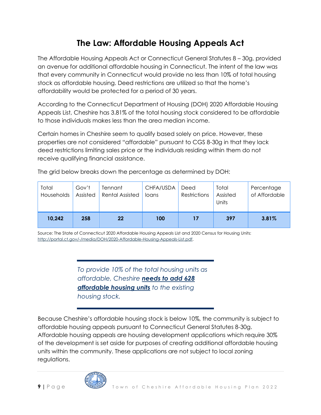### **The Law: Affordable Housing Appeals Act**

The Affordable Housing Appeals Act or Connecticut General Statutes 8 – 30g, provided an avenue for additional affordable housing in Connecticut. The intent of the law was that every community in Connecticut would provide no less than 10% of total housing stock as affordable housing. Deed restrictions are utilized so that the home's affordability would be protected for a period of 30 years.

According to the Connecticut Department of Housing (DOH) 2020 Affordable Housing Appeals List, Cheshire has 3.81% of the total housing stock considered to be affordable to those individuals makes less than the area median income.

Certain homes in Cheshire seem to qualify based solely on price. However, these properties are not considered "affordable" pursuant to CGS 8-30g in that they lack deed restrictions limiting sales price or the individuals residing within them do not receive qualifying financial assistance.

The grid below breaks down the percentage as determined by DOH:

| Total<br>Households | Gov't<br>Assisted | Tennant<br><b>Rental Assisted</b> | CHFA/USDA<br>loans | Deed<br>Restrictions | Total<br>Assisted<br>Units | Percentage<br>of Affordable |
|---------------------|-------------------|-----------------------------------|--------------------|----------------------|----------------------------|-----------------------------|
| 10,242              | 258               | 22                                | 100                | 17                   | 397                        | 3.81%                       |

Source: The State of Connecticut 2020 Affordable Housing Appeals List and 2020 Census for Housing Units: [http://portal.ct.gov/-/media/DOH/2020-Affordable-Housing-Appeals-List.pdf.](http://portal.ct.gov/-/media/DOH/2020-Affordable-Housing-Appeals-List.pdf)

> *To provide 10% of the total housing units as affordable, Cheshire needs to add 628 affordable housing units to the existing housing stock.*

Because Cheshire's affordable housing stock is below 10%, the community is subject to affordable housing appeals pursuant to Connecticut General Statutes 8-30g. Affordable housing appeals are housing development applications which require 30% of the development is set aside for purposes of creating additional affordable housing units within the community. These applications are not subject to local zoning regulations.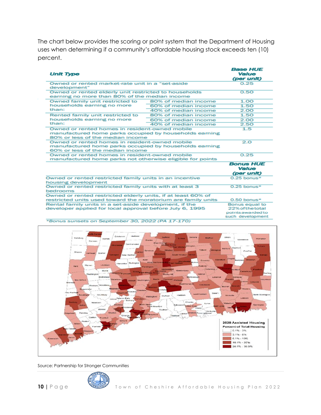The chart below provides the scoring or point system that the Department of Housing uses when determining if a community's affordable housing stock exceeds ten (10) percent.

| <b>Unit Type</b>                                                                                                                             |                                                                             | <b>Base HUE</b><br><b>Value</b><br>(per unit) |
|----------------------------------------------------------------------------------------------------------------------------------------------|-----------------------------------------------------------------------------|-----------------------------------------------|
| Owned or rented market-rate unit in a "set-aside"<br>development"                                                                            |                                                                             | 0.25                                          |
| Owned or rented elderly unit restricted to households<br>earning no more than 80% of the median income                                       |                                                                             | 0.50                                          |
| Owned family unit restricted to                                                                                                              | 80% of median income                                                        | 1.00                                          |
| households earning no more                                                                                                                   | 60% of median income                                                        | 1.50                                          |
| than:                                                                                                                                        | 40% of median income                                                        | 2.00                                          |
| Rented family unit restricted to                                                                                                             | 80% of median income                                                        | 1.50                                          |
| households earning no more                                                                                                                   | 60% of median income                                                        | 2.00                                          |
| than:                                                                                                                                        | 40% of median income                                                        | 2.50                                          |
| Owned or rented homes in resident-owned mobile<br>manufactured home parks occupied by households earning<br>80% or less of the median income | 1.5                                                                         |                                               |
| Owned or rented homes in resident-owned mobile<br>manufactured home parks occupied by households earning<br>60% or less of the median income | 2.0                                                                         |                                               |
| Owned or rented homes in resident-owned mobile<br>manufactured home parks not otherwise eligible for points                                  |                                                                             | 0.25                                          |
|                                                                                                                                              |                                                                             | <b>Bonus HUE</b><br>Value<br>(per unit)       |
| Owned or rented restricted family units in an incentive<br>housing development                                                               |                                                                             | $0.25$ bonus*                                 |
| Owned or rented restricted family units with at least 3<br>bedrooms                                                                          | 0.25 bonus*                                                                 |                                               |
| Owned or rented restricted elderly units, if at least 60% of<br>restricted units used toward the moratorium are family units                 |                                                                             | $0.50$ bonus*                                 |
| Rental family units in a set-aside development, if the<br>developer applied for local approval before July 6, 1995                           | Bonus equal to<br>22% of the total<br>points awarded to<br>such development |                                               |



Source: Partnership for Stronger Communities

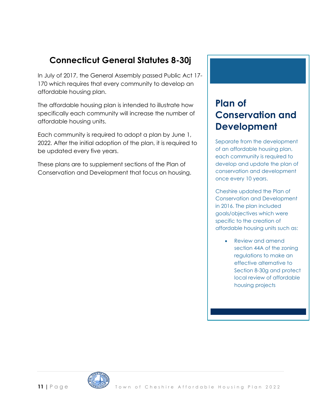### **Connecticut General Statutes 8-30j**

In July of 2017, the General Assembly passed Public Act 17- 170 which requires that every community to develop an affordable housing plan.

The affordable housing plan is intended to illustrate how specifically each community will increase the number of affordable housing units.

Each community is required to adopt a plan by June 1, 2022. After the initial adoption of the plan, it is required to be updated every five years.

These plans are to supplement sections of the Plan of Conservation and Development that focus on housing.

## **Plan of Conservation and Development**

Separate from the development of an affordable housing plan, each community is required to develop and update the plan of conservation and development once every 10 years.

Cheshire updated the Plan of Conservation and Development in 2016. The plan included goals/objectives which were specific to the creation of affordable housing units such as:

> • Review and amend section 44A of the zoning regulations to make an effective alternative to Section 8-30g and protect local review of affordable housing projects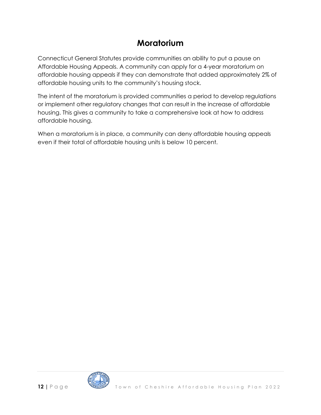### **Moratorium**

Connecticut General Statutes provide communities an ability to put a pause on Affordable Housing Appeals. A community can apply for a 4-year moratorium on affordable housing appeals if they can demonstrate that added approximately 2% of affordable housing units to the community's housing stock.

The intent of the moratorium is provided communities a period to develop regulations or implement other regulatory changes that can result in the increase of affordable housing. This gives a community to take a comprehensive look at how to address affordable housing.

When a moratorium is in place, a community can deny affordable housing appeals even if their total of affordable housing units is below 10 percent.

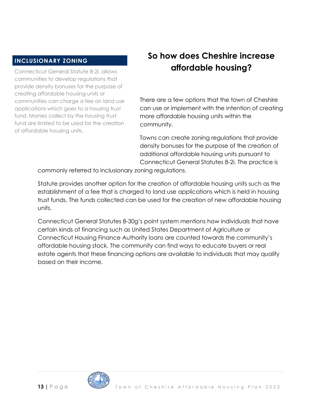#### **INCLUSIONARY ZONING**

Connecticut General Statute 8-2i, allows communities to develop regulations that provide density bonuses for the purpose of creating affordable housing units or communities can charge a fee on land use applications which goes to a housing trust fund. Monies collect by the housing trust fund are limited to be used for the creation of affordable housing units.

### **So how does Cheshire increase affordable housing?**

There are a few options that the town of Cheshire can use or implement with the intention of creating more affordable housing units within the community.

Towns can create zoning regulations that provide density bonuses for the purpose of the creation of additional affordable housing units pursuant to Connecticut General Statutes 8-2i. The practice is

commonly referred to inclusionary zoning regulations.

Statute provides another option for the creation of affordable housing units such as the establishment of a fee that is charged to land use applications which is held in housing trust funds. The funds collected can be used for the creation of new affordable housing units.

Connecticut General Statutes 8-30g's point system mentions how individuals that have certain kinds of financing such as United States Department of Agriculture or Connecticut Housing Finance Authority loans are counted towards the community's affordable housing stock. The community can find ways to educate buyers or real estate agents that these financing options are available to individuals that may qualify based on their income.

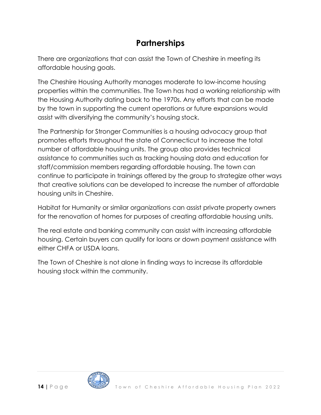### **Partnerships**

There are organizations that can assist the Town of Cheshire in meeting its affordable housing goals.

The Cheshire Housing Authority manages moderate to low-income housing properties within the communities. The Town has had a working relationship with the Housing Authority dating back to the 1970s. Any efforts that can be made by the town in supporting the current operations or future expansions would assist with diversifying the community's housing stock.

The Partnership for Stronger Communities is a housing advocacy group that promotes efforts throughout the state of Connecticut to increase the total number of affordable housing units. The group also provides technical assistance to communities such as tracking housing data and education for staff/commission members regarding affordable housing. The town can continue to participate in trainings offered by the group to strategize other ways that creative solutions can be developed to increase the number of affordable housing units in Cheshire.

Habitat for Humanity or similar organizations can assist private property owners for the renovation of homes for purposes of creating affordable housing units.

The real estate and banking community can assist with increasing affordable housing. Certain buyers can qualify for loans or down payment assistance with either CHFA or USDA loans.

The Town of Cheshire is not alone in finding ways to increase its affordable housing stock within the community.

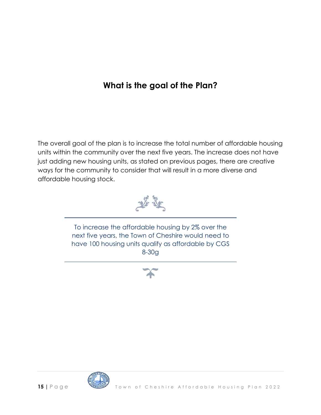### **What is the goal of the Plan?**

The overall goal of the plan is to increase the total number of affordable housing units within the community over the next five years. The increase does not have just adding new housing units, as stated on previous pages, there are creative ways for the community to consider that will result in a more diverse and affordable housing stock.



To increase the affordable housing by 2% over the next five years, the Town of Cheshire would need to have 100 housing units qualify as affordable by CGS 8-30g



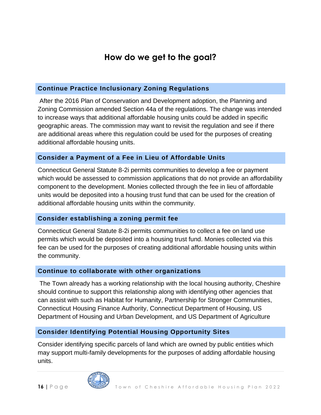### **How do we get to the goal?**

#### **Continue Practice Inclusionary Zoning Regulations**

After the 2016 Plan of Conservation and Development adoption, the Planning and Zoning Commission amended Section 44a of the regulations. The change was intended to increase ways that additional affordable housing units could be added in specific geographic areas. The commission may want to revisit the regulation and see if there are additional areas where this regulation could be used for the purposes of creating additional affordable housing units.

#### **Consider a Payment of a Fee in Lieu of Affordable Units**

Connecticut General Statute 8-2i permits communities to develop a fee or payment which would be assessed to commission applications that do not provide an affordability component to the development. Monies collected through the fee in lieu of affordable units would be deposited into a housing trust fund that can be used for the creation of additional affordable housing units within the community.

#### **Consider establishing a zoning permit fee**

Connecticut General Statute 8-2i permits communities to collect a fee on land use permits which would be deposited into a housing trust fund. Monies collected via this fee can be used for the purposes of creating additional affordable housing units within the community.

#### **Continue to collaborate with other organizations**

The Town already has a working relationship with the local housing authority, Cheshire should continue to support this relationship along with identifying other agencies that can assist with such as Habitat for Humanity, Partnership for Stronger Communities, Connecticut Housing Finance Authority, Connecticut Department of Housing, US Department of Housing and Urban Development, and US Department of Agriculture

#### **Consider Identifying Potential Housing Opportunity Sites**

Consider identifying specific parcels of land which are owned by public entities which may support multi-family developments for the purposes of adding affordable housing units.

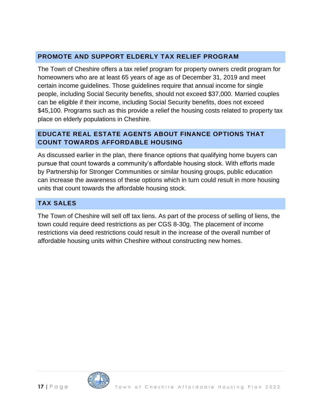#### **PROMOTE AND SUPPORT ELDERLY TAX RELIEF PROGRAM**

The Town of Cheshire offers a tax relief program for property owners credit program for homeowners who are at least 65 years of age as of December 31, 2019 and meet certain income guidelines. Those guidelines require that annual income for single people, including Social Security benefits, should not exceed \$37,000. Married couples can be eligible if their income, including Social Security benefits, does not exceed \$45,100. Programs such as this provide a relief the housing costs related to property tax place on elderly populations in Cheshire.

#### **EDUCATE REAL ESTATE AGENTS ABOUT FINANCE OPTIONS THAT COUNT TOWARDS AFFORDABLE HOUSING**

As discussed earlier in the plan, there finance options that qualifying home buyers can pursue that count towards a community's affordable housing stock. With efforts made by Partnership for Stronger Communities or similar housing groups, public education can increase the awareness of these options which in turn could result in more housing units that count towards the affordable housing stock.

### **TAX SALES**

The Town of Cheshire will sell off tax liens. As part of the process of selling of liens, the town could require deed restrictions as per CGS 8-30g. The placement of income restrictions via deed restrictions could result in the increase of the overall number of affordable housing units within Cheshire without constructing new homes.

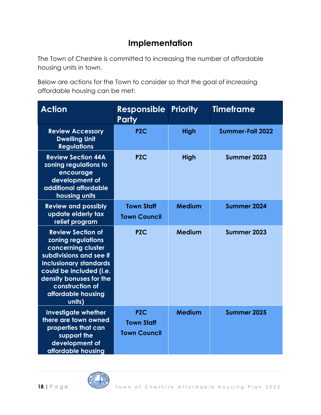### **Implementation**

The Town of Cheshire is committed to increasing the number of affordable housing units in town.

Below are actions for the Town to consider so that the goal of increasing affordable housing can be met:

| <b>Action</b>                                                                                                                                                                                                                              | <b>Responsible</b><br><b>Party</b>                     | <b>Priority</b> | <b>Timeframe</b> |  |
|--------------------------------------------------------------------------------------------------------------------------------------------------------------------------------------------------------------------------------------------|--------------------------------------------------------|-----------------|------------------|--|
| <b>Review Accessory</b><br><b>Dwelling Unit</b><br><b>Regulations</b>                                                                                                                                                                      | <b>PZC</b>                                             | <b>High</b>     | Summer-Fall 2022 |  |
| <b>Review Section 44A</b><br>zoning regulations to<br>encourage<br>development of<br>additional affordable<br>housing units                                                                                                                | <b>PZC</b>                                             | <b>High</b>     | Summer 2023      |  |
| <b>Review and possibly</b><br>update elderly tax<br>relief program                                                                                                                                                                         | <b>Town Staff</b><br><b>Town Council</b>               | <b>Medium</b>   | Summer 2024      |  |
| <b>Review Section of</b><br>zoning regulations<br>concerning cluster<br>subdivisions and see if<br>inclusionary standards<br>could be included (i.e.<br>density bonuses for the<br>construction of<br>affordable housing<br><b>units</b> ) | <b>PZC</b>                                             | Medium          | Summer 2023      |  |
| <b>Investigate whether</b><br>there are town owned<br>properties that can<br>support the<br>development of<br>affordable housing                                                                                                           | <b>PZC</b><br><b>Town Staff</b><br><b>Town Council</b> | <b>Medium</b>   | Summer 2025      |  |